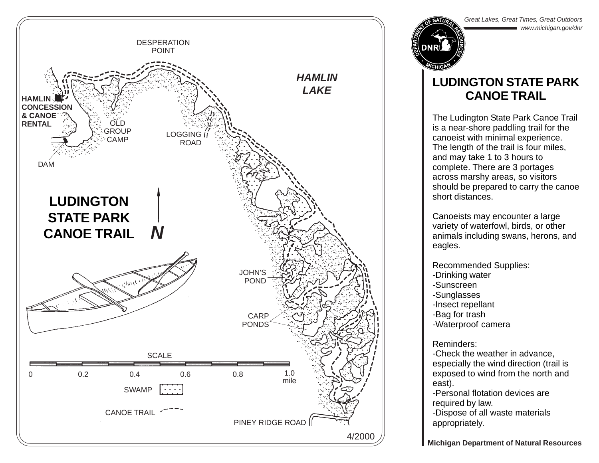

Great Lakes, Great Times, Great Outdoors www.michigan.gov/dnr

## **LUDINGTON STATE PARK CANOE TRAIL**

The Ludington State Park Canoe Trail is a near-shore paddling trail for the canoeist with minimal experience. The length of the trail is four miles, and may take 1 to 3 hours to complete. There are 3 portages across marshy areas, so visitors should be prepared to carry the canoe short distances.

Canoeists may encounter a large variety of waterfowl, birds, or other animals including swans, herons, and eagles.

Recommended Supplies:

- -Drinking water
- -Sunscreen
- -Sunglasses
- -Insect repellant
- -Bag for trash
- -Waterproof camera

Reminders:

-Check the weather in advance, especially the wind direction (trail is exposed to wind from the north and east).

-Personal flotation devices are required by law.

-Dispose of all waste materials appropriately.

**Michigan Department of Natural Resources**